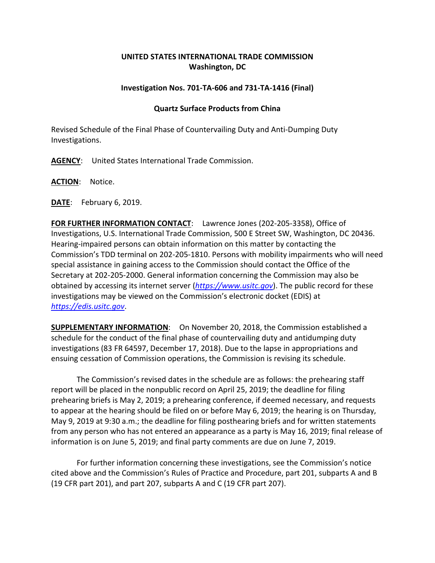## **UNITED STATES INTERNATIONAL TRADE COMMISSION Washington, DC**

## **Investigation Nos. 701-TA-606 and 731-TA-1416 (Final)**

## **Quartz Surface Products from China**

Revised Schedule of the Final Phase of Countervailing Duty and Anti-Dumping Duty Investigations.

**AGENCY**: United States International Trade Commission.

**ACTION**: Notice.

**DATE**: February 6, 2019.

**FOR FURTHER INFORMATION CONTACT**: Lawrence Jones (202-205-3358), Office of Investigations, U.S. International Trade Commission, 500 E Street SW, Washington, DC 20436. Hearing-impaired persons can obtain information on this matter by contacting the Commission's TDD terminal on 202-205-1810. Persons with mobility impairments who will need special assistance in gaining access to the Commission should contact the Office of the Secretary at 202-205-2000. General information concerning the Commission may also be obtained by accessing its internet server (*[https://www.usitc.gov](https://www.usitc.gov/)*). The public record for these investigations may be viewed on the Commission's electronic docket (EDIS) at *[https://edis.usitc.gov](https://edis.usitc.gov/)*.

**SUPPLEMENTARY INFORMATION**: On November 20, 2018, the Commission established a schedule for the conduct of the final phase of countervailing duty and antidumping duty investigations (83 FR 64597, December 17, 2018). Due to the lapse in appropriations and ensuing cessation of Commission operations, the Commission is revising its schedule.

The Commission's revised dates in the schedule are as follows: the prehearing staff report will be placed in the nonpublic record on April 25, 2019; the deadline for filing prehearing briefs is May 2, 2019; a prehearing conference, if deemed necessary, and requests to appear at the hearing should be filed on or before May 6, 2019; the hearing is on Thursday, May 9, 2019 at 9:30 a.m.; the deadline for filing posthearing briefs and for written statements from any person who has not entered an appearance as a party is May 16, 2019; final release of information is on June 5, 2019; and final party comments are due on June 7, 2019.

For further information concerning these investigations, see the Commission's notice cited above and the Commission's Rules of Practice and Procedure, part 201, subparts A and B (19 CFR part 201), and part 207, subparts A and C (19 CFR part 207).